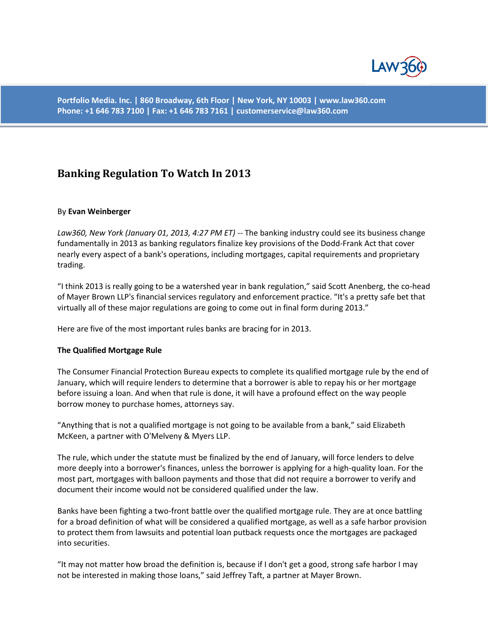

**Portfolio Media. Inc. | 860 Broadway, 6th Floor | New York, NY 10003 | www.law360.com Phone: +1 646 783 7100 | Fax: +1 646 783 7161 | customerservice@law360.com**

# **Banking Regulation To Watch In 2013**

#### By **Evan Weinberger**

*Law360, New York (January 01, 2013, 4:27 PM ET)* -- The banking industry could see its business change fundamentally in 2013 as banking regulators finalize key provisions of the Dodd-Frank Act that cover nearly every aspect of a bank's operations, including mortgages, capital requirements and proprietary trading.

"I think 2013 is really going to be a watershed year in bank regulation," said Scott Anenberg, the co-head of Mayer Brown LLP's financial services regulatory and enforcement practice. "It's a pretty safe bet that virtually all of these major regulations are going to come out in final form during 2013."

Here are five of the most important rules banks are bracing for in 2013.

#### **The Qualified Mortgage Rule**

The Consumer Financial Protection Bureau expects to complete its qualified mortgage rule by the end of January, which will require lenders to determine that a borrower is able to repay his or her mortgage before issuing a loan. And when that rule is done, it will have a profound effect on the way people borrow money to purchase homes, attorneys say.

"Anything that is not a qualified mortgage is not going to be available from a bank," said Elizabeth McKeen, a partner with O'Melveny & Myers LLP.

The rule, which under the statute must be finalized by the end of January, will force lenders to delve more deeply into a borrower's finances, unless the borrower is applying for a high-quality loan. For the most part, mortgages with balloon payments and those that did not require a borrower to verify and document their income would not be considered qualified under the law.

Banks have been fighting a two-front battle over the qualified mortgage rule. They are at once battling for a broad definition of what will be considered a qualified mortgage, as well as a safe harbor provision to protect them from lawsuits and potential loan putback requests once the mortgages are packaged into securities.

"It may not matter how broad the definition is, because if I don't get a good, strong safe harbor I may not be interested in making those loans," said Jeffrey Taft, a partner at Mayer Brown.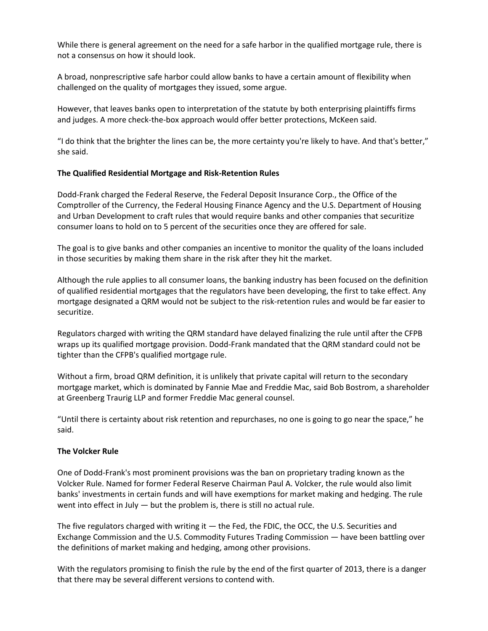While there is general agreement on the need for a safe harbor in the qualified mortgage rule, there is not a consensus on how it should look.

A broad, nonprescriptive safe harbor could allow banks to have a certain amount of flexibility when challenged on the quality of mortgages they issued, some argue.

However, that leaves banks open to interpretation of the statute by both enterprising plaintiffs firms and judges. A more check-the-box approach would offer better protections, McKeen said.

"I do think that the brighter the lines can be, the more certainty you're likely to have. And that's better," she said.

# **The Qualified Residential Mortgage and Risk-Retention Rules**

Dodd-Frank charged the Federal Reserve, the Federal Deposit Insurance Corp., the Office of the Comptroller of the Currency, the Federal Housing Finance Agency and the U.S. Department of Housing and Urban Development to craft rules that would require banks and other companies that securitize consumer loans to hold on to 5 percent of the securities once they are offered for sale.

The goal is to give banks and other companies an incentive to monitor the quality of the loans included in those securities by making them share in the risk after they hit the market.

Although the rule applies to all consumer loans, the banking industry has been focused on the definition of qualified residential mortgages that the regulators have been developing, the first to take effect. Any mortgage designated a QRM would not be subject to the risk-retention rules and would be far easier to securitize.

Regulators charged with writing the QRM standard have delayed finalizing the rule until after the CFPB wraps up its qualified mortgage provision. Dodd-Frank mandated that the QRM standard could not be tighter than the CFPB's qualified mortgage rule.

Without a firm, broad QRM definition, it is unlikely that private capital will return to the secondary mortgage market, which is dominated by Fannie Mae and Freddie Mac, said Bob Bostrom, a shareholder at Greenberg Traurig LLP and former Freddie Mac general counsel.

"Until there is certainty about risk retention and repurchases, no one is going to go near the space," he said.

## **The Volcker Rule**

One of Dodd-Frank's most prominent provisions was the ban on proprietary trading known as the Volcker Rule. Named for former Federal Reserve Chairman Paul A. Volcker, the rule would also limit banks' investments in certain funds and will have exemptions for market making and hedging. The rule went into effect in July — but the problem is, there is still no actual rule.

The five regulators charged with writing it - the Fed, the FDIC, the OCC, the U.S. Securities and Exchange Commission and the U.S. Commodity Futures Trading Commission — have been battling over the definitions of market making and hedging, among other provisions.

With the regulators promising to finish the rule by the end of the first quarter of 2013, there is a danger that there may be several different versions to contend with.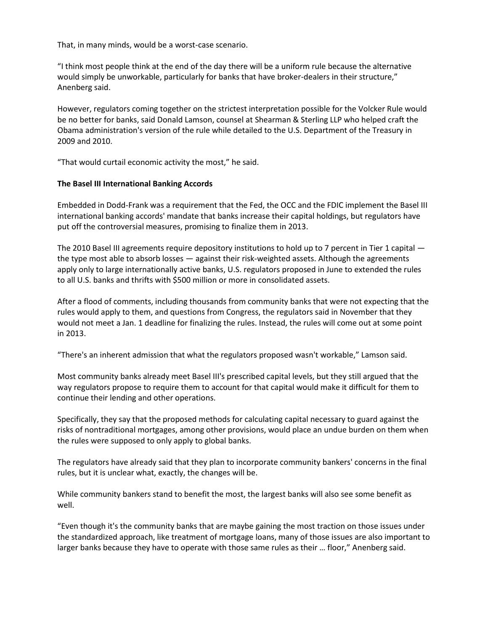That, in many minds, would be a worst-case scenario.

"I think most people think at the end of the day there will be a uniform rule because the alternative would simply be unworkable, particularly for banks that have broker-dealers in their structure," Anenberg said.

However, regulators coming together on the strictest interpretation possible for the Volcker Rule would be no better for banks, said Donald Lamson, counsel at Shearman & Sterling LLP who helped craft the Obama administration's version of the rule while detailed to the U.S. Department of the Treasury in 2009 and 2010.

"That would curtail economic activity the most," he said.

# **The Basel III International Banking Accords**

Embedded in Dodd-Frank was a requirement that the Fed, the OCC and the FDIC implement the Basel III international banking accords' mandate that banks increase their capital holdings, but regulators have put off the controversial measures, promising to finalize them in 2013.

The 2010 Basel III agreements require depository institutions to hold up to 7 percent in Tier 1 capital the type most able to absorb losses — against their risk-weighted assets. Although the agreements apply only to large internationally active banks, U.S. regulators proposed in June to extended the rules to all U.S. banks and thrifts with \$500 million or more in consolidated assets.

After a flood of comments, including thousands from community banks that were not expecting that the rules would apply to them, and questions from Congress, the regulators said in November that they would not meet a Jan. 1 deadline for finalizing the rules. Instead, the rules will come out at some point in 2013.

"There's an inherent admission that what the regulators proposed wasn't workable," Lamson said.

Most community banks already meet Basel III's prescribed capital levels, but they still argued that the way regulators propose to require them to account for that capital would make it difficult for them to continue their lending and other operations.

Specifically, they say that the proposed methods for calculating capital necessary to guard against the risks of nontraditional mortgages, among other provisions, would place an undue burden on them when the rules were supposed to only apply to global banks.

The regulators have already said that they plan to incorporate community bankers' concerns in the final rules, but it is unclear what, exactly, the changes will be.

While community bankers stand to benefit the most, the largest banks will also see some benefit as well.

"Even though it's the community banks that are maybe gaining the most traction on those issues under the standardized approach, like treatment of mortgage loans, many of those issues are also important to larger banks because they have to operate with those same rules as their … floor," Anenberg said.